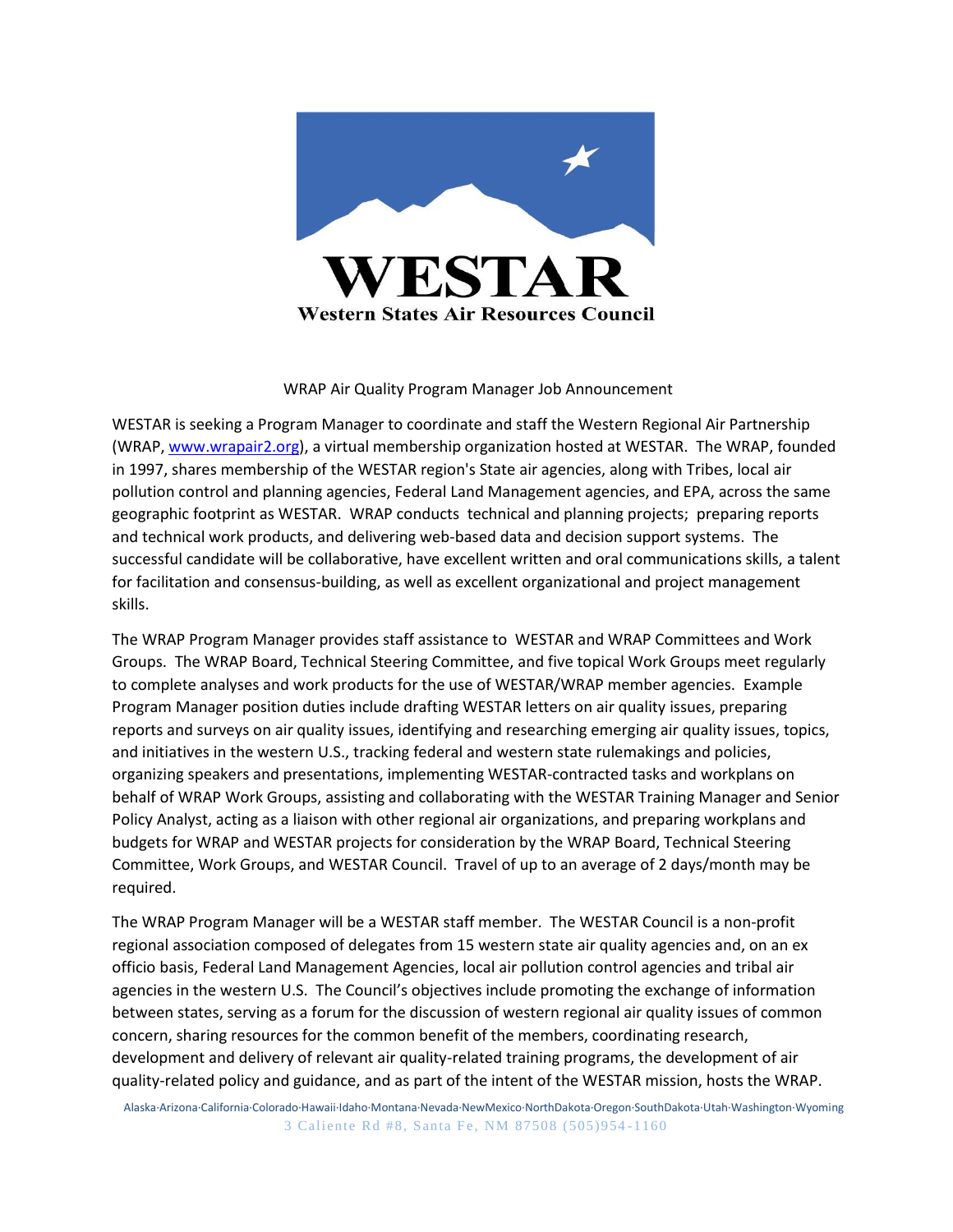

## WRAP Air Quality Program Manager Job Announcement

WESTAR is seeking a Program Manager to coordinate and staff the Western Regional Air Partnership (WRAP, [www.wrapair2.org\)](http://www.wrapair2.org/), a virtual membership organization hosted at WESTAR. The WRAP, founded in 1997, shares membership of the WESTAR region's State air agencies, along with Tribes, local air pollution control and planning agencies, Federal Land Management agencies, and EPA, across the same geographic footprint as WESTAR. WRAP conducts technical and planning projects; preparing reports and technical work products, and delivering web-based data and decision support systems. The successful candidate will be collaborative, have excellent written and oral communications skills, a talent for facilitation and consensus-building, as well as excellent organizational and project management skills.

The WRAP Program Manager provides staff assistance to WESTAR and WRAP Committees and Work Groups. The WRAP Board, Technical Steering Committee, and five topical Work Groups meet regularly to complete analyses and work products for the use of WESTAR/WRAP member agencies. Example Program Manager position duties include drafting WESTAR letters on air quality issues, preparing reports and surveys on air quality issues, identifying and researching emerging air quality issues, topics, and initiatives in the western U.S., tracking federal and western state rulemakings and policies, organizing speakers and presentations, implementing WESTAR-contracted tasks and workplans on behalf of WRAP Work Groups, assisting and collaborating with the WESTAR Training Manager and Senior Policy Analyst, acting as a liaison with other regional air organizations, and preparing workplans and budgets for WRAP and WESTAR projects for consideration by the WRAP Board, Technical Steering Committee, Work Groups, and WESTAR Council. Travel of up to an average of 2 days/month may be required.

The WRAP Program Manager will be a WESTAR staff member. The WESTAR Council is a non-profit regional association composed of delegates from 15 western state air quality agencies and, on an ex officio basis, Federal Land Management Agencies, local air pollution control agencies and tribal air agencies in the western U.S. The Council's objectives include promoting the exchange of information between states, serving as a forum for the discussion of western regional air quality issues of common concern, sharing resources for the common benefit of the members, coordinating research, development and delivery of relevant air quality-related training programs, the development of air quality-related policy and guidance, and as part of the intent of the WESTAR mission, hosts the WRAP.